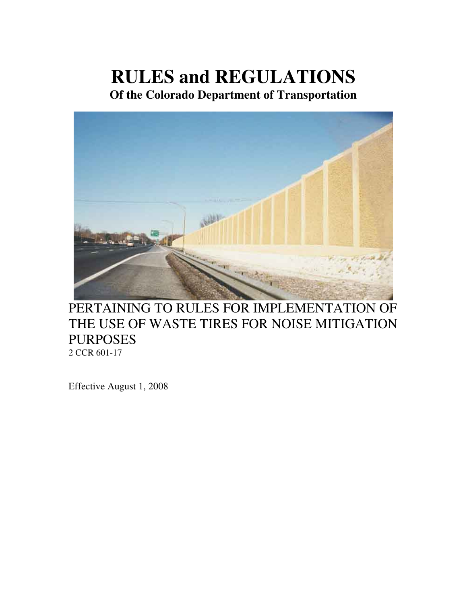# **RULES and REGULATIONS**

**Of the Colorado Department of Transportation** 



# PERTAINING TO RULES FOR IMPLEMENTATION OF THE USE OF WASTE TIRES FOR NOISE MITIGATION PURPOSES 2 CCR 601-17

Effective August 1, 2008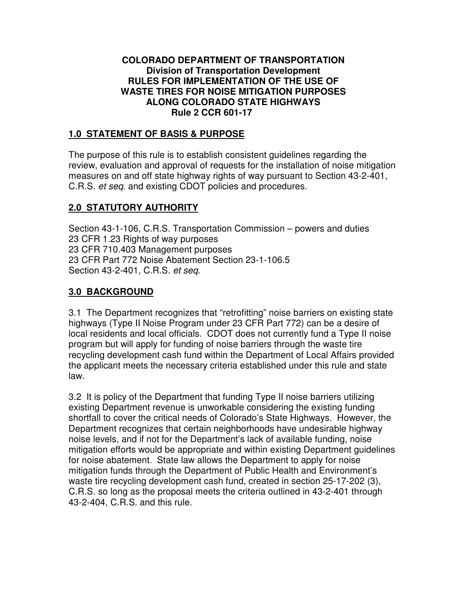#### **COLORADO DEPARTMENT OF TRANSPORTATION Division of Transportation Development RULES FOR IMPLEMENTATION OF THE USE OF WASTE TIRES FOR NOISE MITIGATION PURPOSES ALONG COLORADO STATE HIGHWAYS Rule 2 CCR 601-17**

### **1.0 STATEMENT OF BASIS & PURPOSE**

The purpose of this rule is to establish consistent guidelines regarding the review, evaluation and approval of requests for the installation of noise mitigation measures on and off state highway rights of way pursuant to Section 43-2-401, C.R.S. et seq. and existing CDOT policies and procedures.

# **2.0 STATUTORY AUTHORITY**

Section 43-1-106, C.R.S. Transportation Commission – powers and duties 23 CFR 1.23 Rights of way purposes 23 CFR 710.403 Management purposes 23 CFR Part 772 Noise Abatement Section 23-1-106.5 Section 43-2-401, C.R.S. et seq.

# **3.0 BACKGROUND**

3.1 The Department recognizes that "retrofitting" noise barriers on existing state highways (Type II Noise Program under 23 CFR Part 772) can be a desire of local residents and local officials. CDOT does not currently fund a Type II noise program but will apply for funding of noise barriers through the waste tire recycling development cash fund within the Department of Local Affairs provided the applicant meets the necessary criteria established under this rule and state law.

3.2 It is policy of the Department that funding Type II noise barriers utilizing existing Department revenue is unworkable considering the existing funding shortfall to cover the critical needs of Colorado's State Highways. However, the Department recognizes that certain neighborhoods have undesirable highway noise levels, and if not for the Department's lack of available funding, noise mitigation efforts would be appropriate and within existing Department guidelines for noise abatement. State law allows the Department to apply for noise mitigation funds through the Department of Public Health and Environment's waste tire recycling development cash fund, created in section 25-17-202 (3), C.R.S. so long as the proposal meets the criteria outlined in 43-2-401 through 43-2-404, C.R.S. and this rule.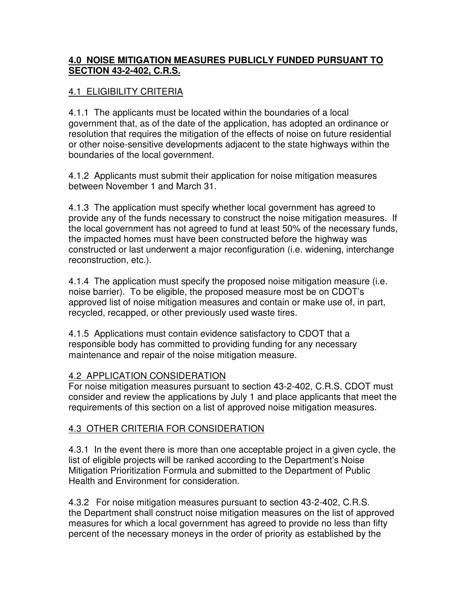### **4.0 NOISE MITIGATION MEASURES PUBLICLY FUNDED PURSUANT TO SECTION 43-2-402, C.R.S.**

### 4.1 ELIGIBILITY CRITERIA

4.1.1 The applicants must be located within the boundaries of a local government that, as of the date of the application, has adopted an ordinance or resolution that requires the mitigation of the effects of noise on future residential or other noise-sensitive developments adjacent to the state highways within the boundaries of the local government.

4.1.2 Applicants must submit their application for noise mitigation measures between November 1 and March 31.

4.1.3 The application must specify whether local government has agreed to provide any of the funds necessary to construct the noise mitigation measures. If the local government has not agreed to fund at least 50% of the necessary funds, the impacted homes must have been constructed before the highway was constructed or last underwent a major reconfiguration (i.e. widening, interchange reconstruction, etc.).

4.1.4 The application must specify the proposed noise mitigation measure (i.e. noise barrier). To be eligible, the proposed measure most be on CDOT's approved list of noise mitigation measures and contain or make use of, in part, recycled, recapped, or other previously used waste tires.

4.1.5 Applications must contain evidence satisfactory to CDOT that a responsible body has committed to providing funding for any necessary maintenance and repair of the noise mitigation measure.

#### 4.2 APPLICATION CONSIDERATION

For noise mitigation measures pursuant to section 43-2-402, C.R.S. CDOT must consider and review the applications by July 1 and place applicants that meet the requirements of this section on a list of approved noise mitigation measures.

#### 4.3 OTHER CRITERIA FOR CONSIDERATION

4.3.1 In the event there is more than one acceptable project in a given cycle, the list of eligible projects will be ranked according to the Department's Noise Mitigation Prioritization Formula and submitted to the Department of Public Health and Environment for consideration.

4.3.2 For noise mitigation measures pursuant to section 43-2-402, C.R.S. the Department shall construct noise mitigation measures on the list of approved measures for which a local government has agreed to provide no less than fifty percent of the necessary moneys in the order of priority as established by the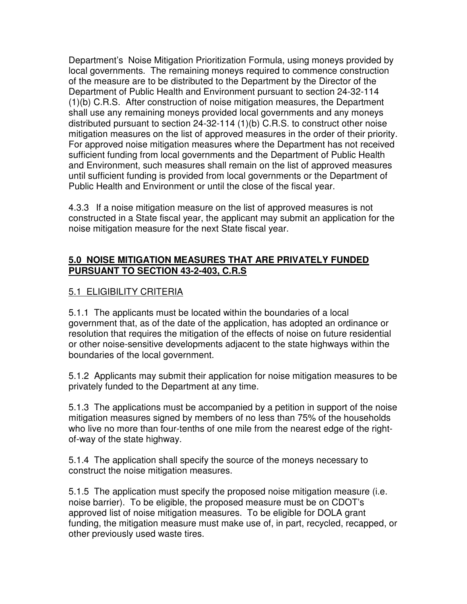Department's Noise Mitigation Prioritization Formula, using moneys provided by local governments. The remaining moneys required to commence construction of the measure are to be distributed to the Department by the Director of the Department of Public Health and Environment pursuant to section 24-32-114 (1)(b) C.R.S. After construction of noise mitigation measures, the Department shall use any remaining moneys provided local governments and any moneys distributed pursuant to section 24-32-114 (1)(b) C.R.S. to construct other noise mitigation measures on the list of approved measures in the order of their priority. For approved noise mitigation measures where the Department has not received sufficient funding from local governments and the Department of Public Health and Environment, such measures shall remain on the list of approved measures until sufficient funding is provided from local governments or the Department of Public Health and Environment or until the close of the fiscal year.

4.3.3 If a noise mitigation measure on the list of approved measures is not constructed in a State fiscal year, the applicant may submit an application for the noise mitigation measure for the next State fiscal year.

#### **5.0 NOISE MITIGATION MEASURES THAT ARE PRIVATELY FUNDED PURSUANT TO SECTION 43-2-403, C.R.S**

# <u>5.1 ELIGIBILITY CRITERIA</u>

5.1.1 The applicants must be located within the boundaries of a local government that, as of the date of the application, has adopted an ordinance or resolution that requires the mitigation of the effects of noise on future residential or other noise-sensitive developments adjacent to the state highways within the boundaries of the local government.

5.1.2 Applicants may submit their application for noise mitigation measures to be privately funded to the Department at any time.

5.1.3 The applications must be accompanied by a petition in support of the noise mitigation measures signed by members of no less than 75% of the households who live no more than four-tenths of one mile from the nearest edge of the rightof-way of the state highway.

5.1.4 The application shall specify the source of the moneys necessary to construct the noise mitigation measures.

5.1.5 The application must specify the proposed noise mitigation measure (i.e. noise barrier). To be eligible, the proposed measure must be on CDOT's approved list of noise mitigation measures. To be eligible for DOLA grant funding, the mitigation measure must make use of, in part, recycled, recapped, or other previously used waste tires.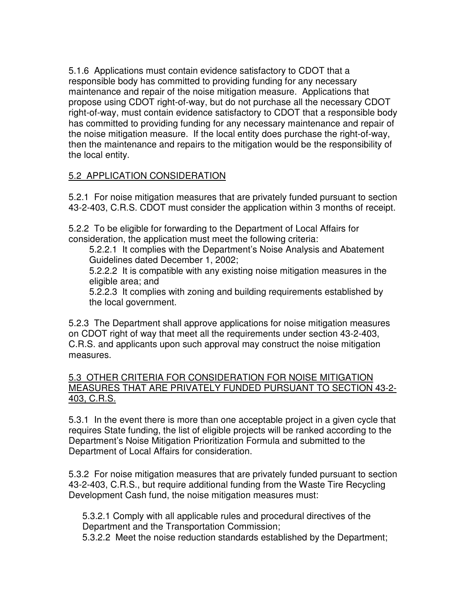5.1.6 Applications must contain evidence satisfactory to CDOT that a responsible body has committed to providing funding for any necessary maintenance and repair of the noise mitigation measure. Applications that propose using CDOT right-of-way, but do not purchase all the necessary CDOT right-of-way, must contain evidence satisfactory to CDOT that a responsible body has committed to providing funding for any necessary maintenance and repair of the noise mitigation measure. If the local entity does purchase the right-of-way, then the maintenance and repairs to the mitigation would be the responsibility of the local entity.

# 5.2 APPLICATION CONSIDERATION

5.2.1 For noise mitigation measures that are privately funded pursuant to section 43-2-403, C.R.S. CDOT must consider the application within 3 months of receipt.

5.2.2 To be eligible for forwarding to the Department of Local Affairs for consideration, the application must meet the following criteria:

 5.2.2.1 It complies with the Department's Noise Analysis and Abatement Guidelines dated December 1, 2002;

 5.2.2.2 It is compatible with any existing noise mitigation measures in the eligible area; and

 5.2.2.3 It complies with zoning and building requirements established by the local government.

5.2.3 The Department shall approve applications for noise mitigation measures on CDOT right of way that meet all the requirements under section 43-2-403, C.R.S. and applicants upon such approval may construct the noise mitigation measures.

#### 5.3 OTHER CRITERIA FOR CONSIDERATION FOR NOISE MITIGATION MEASURES THAT ARE PRIVATELY FUNDED PURSUANT TO SECTION 43-2- 403, C.R.S.

5.3.1 In the event there is more than one acceptable project in a given cycle that requires State funding, the list of eligible projects will be ranked according to the Department's Noise Mitigation Prioritization Formula and submitted to the Department of Local Affairs for consideration.

5.3.2 For noise mitigation measures that are privately funded pursuant to section 43-2-403, C.R.S., but require additional funding from the Waste Tire Recycling Development Cash fund, the noise mitigation measures must:

5.3.2.1 Comply with all applicable rules and procedural directives of the Department and the Transportation Commission;

5.3.2.2 Meet the noise reduction standards established by the Department;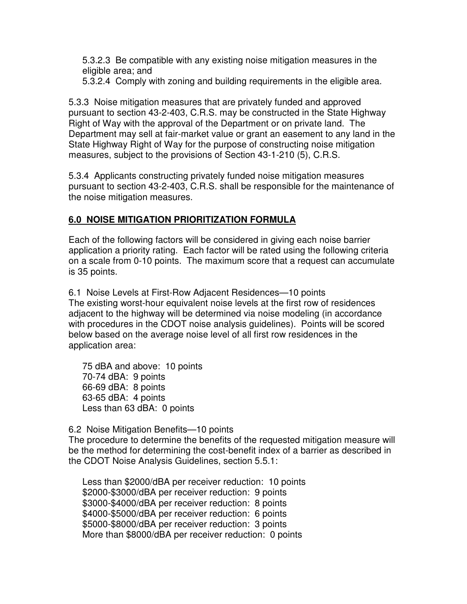5.3.2.3 Be compatible with any existing noise mitigation measures in the eligible area; and

5.3.2.4 Comply with zoning and building requirements in the eligible area.

5.3.3 Noise mitigation measures that are privately funded and approved pursuant to section 43-2-403, C.R.S. may be constructed in the State Highway Right of Way with the approval of the Department or on private land. The Department may sell at fair-market value or grant an easement to any land in the State Highway Right of Way for the purpose of constructing noise mitigation measures, subject to the provisions of Section 43-1-210 (5), C.R.S.

5.3.4 Applicants constructing privately funded noise mitigation measures pursuant to section 43-2-403, C.R.S. shall be responsible for the maintenance of the noise mitigation measures.

#### **6.0 NOISE MITIGATION PRIORITIZATION FORMULA**

Each of the following factors will be considered in giving each noise barrier application a priority rating. Each factor will be rated using the following criteria on a scale from 0-10 points. The maximum score that a request can accumulate is 35 points.

6.1 Noise Levels at First-Row Adjacent Residences—10 points The existing worst-hour equivalent noise levels at the first row of residences adjacent to the highway will be determined via noise modeling (in accordance with procedures in the CDOT noise analysis guidelines). Points will be scored below based on the average noise level of all first row residences in the application area:

75 dBA and above: 10 points 70-74 dBA: 9 points 66-69 dBA: 8 points 63-65 dBA: 4 points Less than 63 dBA: 0 points

6.2 Noise Mitigation Benefits—10 points The procedure to determine the benefits of the requested mitigation measure will be the method for determining the cost-benefit index of a barrier as described in the CDOT Noise Analysis Guidelines, section 5.5.1:

Less than \$2000/dBA per receiver reduction: 10 points \$2000-\$3000/dBA per receiver reduction: 9 points \$3000-\$4000/dBA per receiver reduction: 8 points \$4000-\$5000/dBA per receiver reduction: 6 points \$5000-\$8000/dBA per receiver reduction: 3 points More than \$8000/dBA per receiver reduction: 0 points